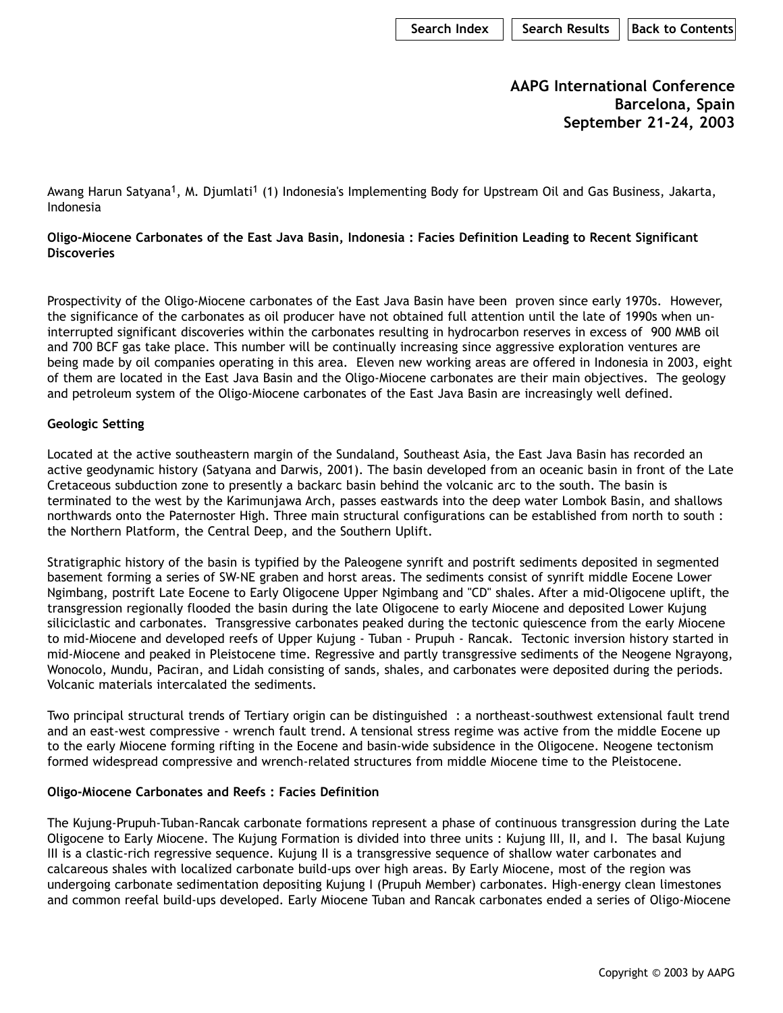**AAPG International Conference Barcelona, Spain September 21-24, 2003**

Awang Harun Satyana<sup>1</sup>, M. Djumlati<sup>1</sup> (1) Indonesia's Implementing Body for Upstream Oil and Gas Business, Jakarta, Indonesia

**Oligo-Miocene Carbonates of the East Java Basin, Indonesia : Facies Definition Leading to Recent Significant Discoveries** 

Prospectivity of the Oligo-Miocene carbonates of the East Java Basin have been proven since early 1970s. However, the significance of the carbonates as oil producer have not obtained full attention until the late of 1990s when uninterrupted significant discoveries within the carbonates resulting in hydrocarbon reserves in excess of 900 MMB oil and 700 BCF gas take place. This number will be continually increasing since aggressive exploration ventures are being made by oil companies operating in this area. Eleven new working areas are offered in Indonesia in 2003, eight of them are located in the East Java Basin and the Oligo-Miocene carbonates are their main objectives. The geology and petroleum system of the Oligo-Miocene carbonates of the East Java Basin are increasingly well defined.

## **Geologic Setting**

Located at the active southeastern margin of the Sundaland, Southeast Asia, the East Java Basin has recorded an active geodynamic history (Satyana and Darwis, 2001). The basin developed from an oceanic basin in front of the Late Cretaceous subduction zone to presently a backarc basin behind the volcanic arc to the south. The basin is terminated to the west by the Karimunjawa Arch, passes eastwards into the deep water Lombok Basin, and shallows northwards onto the Paternoster High. Three main structural configurations can be established from north to south : the Northern Platform, the Central Deep, and the Southern Uplift.

Stratigraphic history of the basin is typified by the Paleogene synrift and postrift sediments deposited in segmented basement forming a series of SW-NE graben and horst areas. The sediments consist of synrift middle Eocene Lower Ngimbang, postrift Late Eocene to Early Oligocene Upper Ngimbang and "CD" shales. After a mid-Oligocene uplift, the transgression regionally flooded the basin during the late Oligocene to early Miocene and deposited Lower Kujung siliciclastic and carbonates. Transgressive carbonates peaked during the tectonic quiescence from the early Miocene to mid-Miocene and developed reefs of Upper Kujung - Tuban - Prupuh - Rancak. Tectonic inversion history started in mid-Miocene and peaked in Pleistocene time. Regressive and partly transgressive sediments of the Neogene Ngrayong, Wonocolo, Mundu, Paciran, and Lidah consisting of sands, shales, and carbonates were deposited during the periods. Volcanic materials intercalated the sediments.

Two principal structural trends of Tertiary origin can be distinguished : a northeast-southwest extensional fault trend and an east-west compressive - wrench fault trend. A tensional stress regime was active from the middle Eocene up to the early Miocene forming rifting in the Eocene and basin-wide subsidence in the Oligocene. Neogene tectonism formed widespread compressive and wrench-related structures from middle Miocene time to the Pleistocene.

## **Oligo-Miocene Carbonates and Reefs : Facies Definition**

The Kujung-Prupuh-Tuban-Rancak carbonate formations represent a phase of continuous transgression during the Late Oligocene to Early Miocene. The Kujung Formation is divided into three units : Kujung III, II, and I. The basal Kujung III is a clastic-rich regressive sequence. Kujung II is a transgressive sequence of shallow water carbonates and calcareous shales with localized carbonate build-ups over high areas. By Early Miocene, most of the region was undergoing carbonate sedimentation depositing Kujung I (Prupuh Member) carbonates. High-energy clean limestones and common reefal build-ups developed. Early Miocene Tuban and Rancak carbonates ended a series of Oligo-Miocene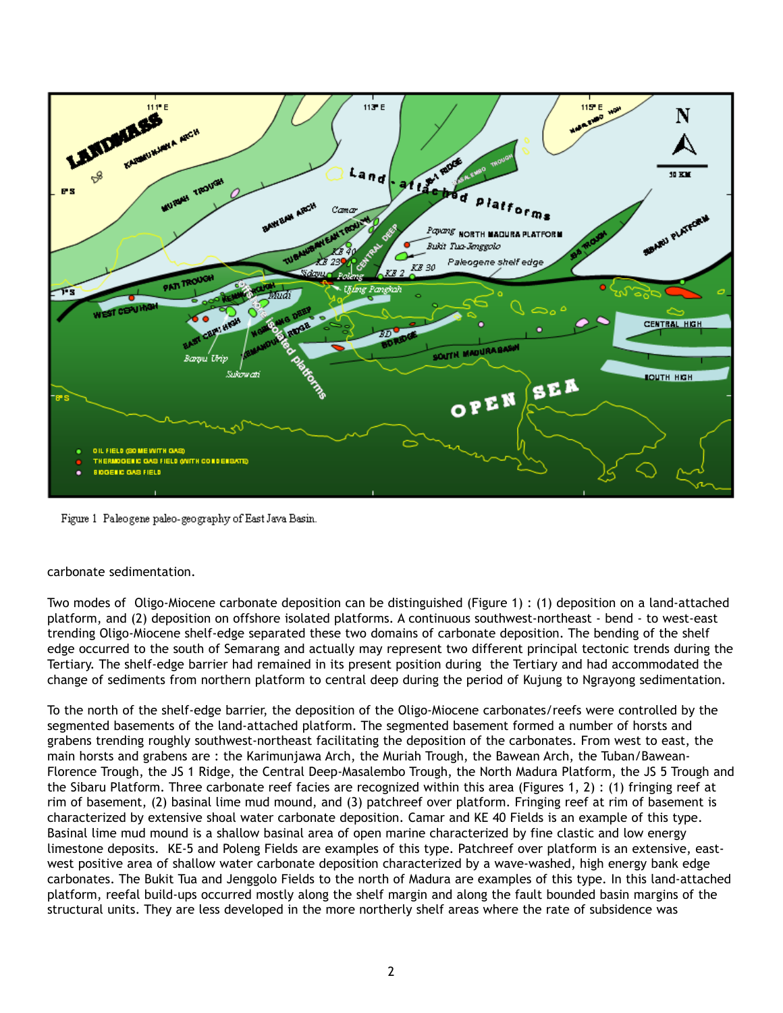

Figure 1 Paleogene paleo-geography of East Java Basin.

## carbonate sedimentation.

Two modes of Oligo-Miocene carbonate deposition can be distinguished (Figure 1) : (1) deposition on a land-attached platform, and (2) deposition on offshore isolated platforms. A continuous southwest-northeast - bend - to west-east trending Oligo-Miocene shelf-edge separated these two domains of carbonate deposition. The bending of the shelf edge occurred to the south of Semarang and actually may represent two different principal tectonic trends during the Tertiary. The shelf-edge barrier had remained in its present position during the Tertiary and had accommodated the change of sediments from northern platform to central deep during the period of Kujung to Ngrayong sedimentation.

To the north of the shelf-edge barrier, the deposition of the Oligo-Miocene carbonates/reefs were controlled by the segmented basements of the land-attached platform. The segmented basement formed a number of horsts and grabens trending roughly southwest-northeast facilitating the deposition of the carbonates. From west to east, the main horsts and grabens are : the Karimunjawa Arch, the Muriah Trough, the Bawean Arch, the Tuban/Bawean-Florence Trough, the JS 1 Ridge, the Central Deep-Masalembo Trough, the North Madura Platform, the JS 5 Trough and the Sibaru Platform. Three carbonate reef facies are recognized within this area (Figures 1, 2) : (1) fringing reef at rim of basement, (2) basinal lime mud mound, and (3) patchreef over platform. Fringing reef at rim of basement is characterized by extensive shoal water carbonate deposition. Camar and KE 40 Fields is an example of this type. Basinal lime mud mound is a shallow basinal area of open marine characterized by fine clastic and low energy limestone deposits. KE-5 and Poleng Fields are examples of this type. Patchreef over platform is an extensive, eastwest positive area of shallow water carbonate deposition characterized by a wave-washed, high energy bank edge carbonates. The Bukit Tua and Jenggolo Fields to the north of Madura are examples of this type. In this land-attached platform, reefal build-ups occurred mostly along the shelf margin and along the fault bounded basin margins of the structural units. They are less developed in the more northerly shelf areas where the rate of subsidence was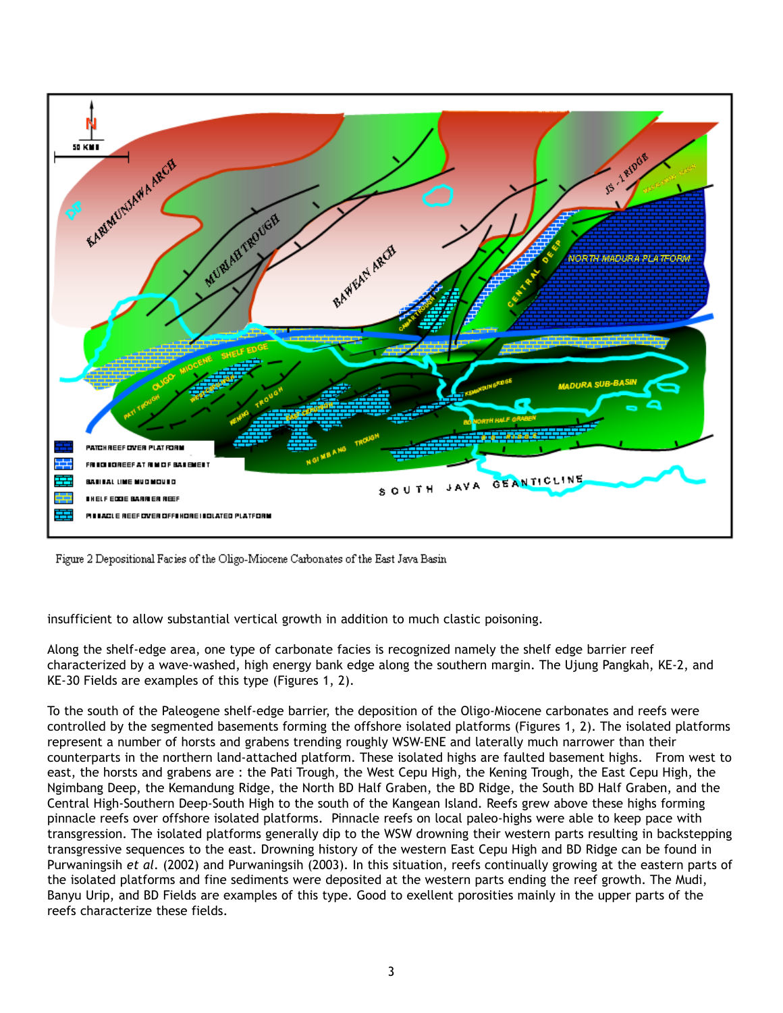

Figure 2 Depositional Facies of the Oligo-Miocene Carbonates of the East Java Basin

insufficient to allow substantial vertical growth in addition to much clastic poisoning.

Along the shelf-edge area, one type of carbonate facies is recognized namely the shelf edge barrier reef characterized by a wave-washed, high energy bank edge along the southern margin. The Ujung Pangkah, KE-2, and KE-30 Fields are examples of this type (Figures 1, 2).

To the south of the Paleogene shelf-edge barrier, the deposition of the Oligo-Miocene carbonates and reefs were controlled by the segmented basements forming the offshore isolated platforms (Figures 1, 2). The isolated platforms represent a number of horsts and grabens trending roughly WSW-ENE and laterally much narrower than their counterparts in the northern land-attached platform. These isolated highs are faulted basement highs. From west to east, the horsts and grabens are : the Pati Trough, the West Cepu High, the Kening Trough, the East Cepu High, the Ngimbang Deep, the Kemandung Ridge, the North BD Half Graben, the BD Ridge, the South BD Half Graben, and the Central High-Southern Deep-South High to the south of the Kangean Island. Reefs grew above these highs forming pinnacle reefs over offshore isolated platforms. Pinnacle reefs on local paleo-highs were able to keep pace with transgression. The isolated platforms generally dip to the WSW drowning their western parts resulting in backstepping transgressive sequences to the east. Drowning history of the western East Cepu High and BD Ridge can be found in Purwaningsih *et al*. (2002) and Purwaningsih (2003). In this situation, reefs continually growing at the eastern parts of the isolated platforms and fine sediments were deposited at the western parts ending the reef growth. The Mudi, Banyu Urip, and BD Fields are examples of this type. Good to exellent porosities mainly in the upper parts of the reefs characterize these fields.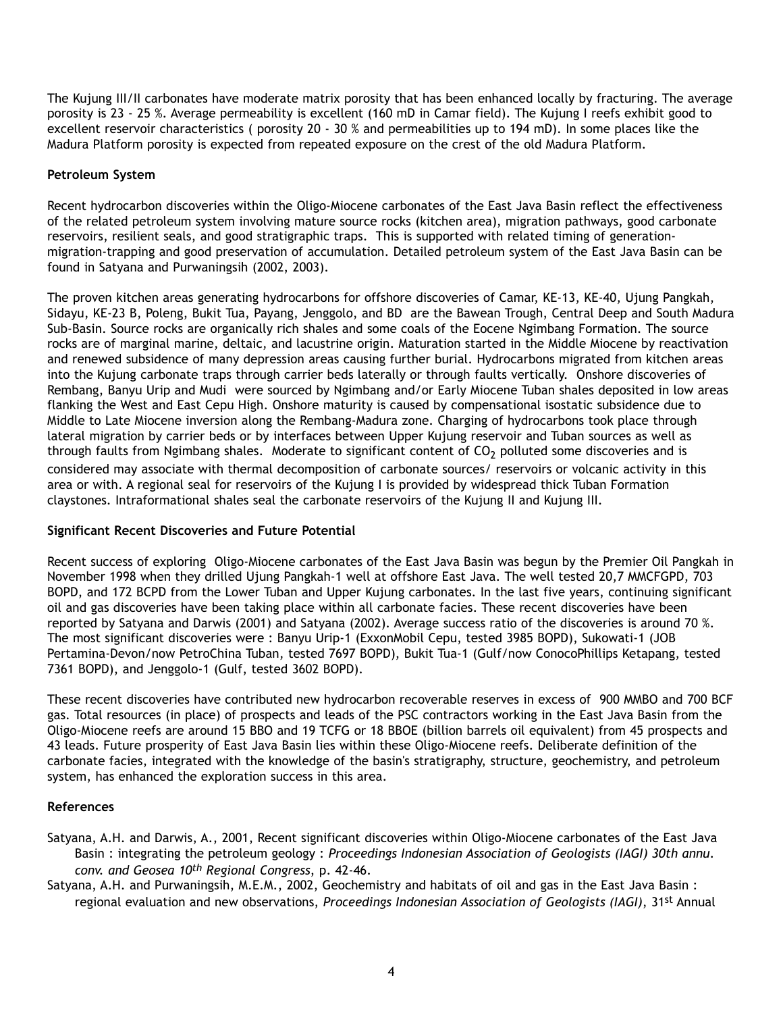The Kujung III/II carbonates have moderate matrix porosity that has been enhanced locally by fracturing. The average porosity is 23 - 25 %. Average permeability is excellent (160 mD in Camar field). The Kujung I reefs exhibit good to excellent reservoir characteristics ( porosity 20 - 30 % and permeabilities up to 194 mD). In some places like the Madura Platform porosity is expected from repeated exposure on the crest of the old Madura Platform.

# **Petroleum System**

Recent hydrocarbon discoveries within the Oligo-Miocene carbonates of the East Java Basin reflect the effectiveness of the related petroleum system involving mature source rocks (kitchen area), migration pathways, good carbonate reservoirs, resilient seals, and good stratigraphic traps. This is supported with related timing of generationmigration-trapping and good preservation of accumulation. Detailed petroleum system of the East Java Basin can be found in Satyana and Purwaningsih (2002, 2003).

The proven kitchen areas generating hydrocarbons for offshore discoveries of Camar, KE-13, KE-40, Ujung Pangkah, Sidayu, KE-23 B, Poleng, Bukit Tua, Payang, Jenggolo, and BD are the Bawean Trough, Central Deep and South Madura Sub-Basin. Source rocks are organically rich shales and some coals of the Eocene Ngimbang Formation. The source rocks are of marginal marine, deltaic, and lacustrine origin. Maturation started in the Middle Miocene by reactivation and renewed subsidence of many depression areas causing further burial. Hydrocarbons migrated from kitchen areas into the Kujung carbonate traps through carrier beds laterally or through faults vertically. Onshore discoveries of Rembang, Banyu Urip and Mudi were sourced by Ngimbang and/or Early Miocene Tuban shales deposited in low areas flanking the West and East Cepu High. Onshore maturity is caused by compensational isostatic subsidence due to Middle to Late Miocene inversion along the Rembang-Madura zone. Charging of hydrocarbons took place through lateral migration by carrier beds or by interfaces between Upper Kujung reservoir and Tuban sources as well as through faults from Ngimbang shales. Moderate to significant content of  $CO<sub>2</sub>$  polluted some discoveries and is considered may associate with thermal decomposition of carbonate sources/ reservoirs or volcanic activity in this area or with. A regional seal for reservoirs of the Kujung I is provided by widespread thick Tuban Formation claystones. Intraformational shales seal the carbonate reservoirs of the Kujung II and Kujung III.

# **Significant Recent Discoveries and Future Potential**

Recent success of exploring Oligo-Miocene carbonates of the East Java Basin was begun by the Premier Oil Pangkah in November 1998 when they drilled Ujung Pangkah-1 well at offshore East Java. The well tested 20,7 MMCFGPD, 703 BOPD, and 172 BCPD from the Lower Tuban and Upper Kujung carbonates. In the last five years, continuing significant oil and gas discoveries have been taking place within all carbonate facies. These recent discoveries have been reported by Satyana and Darwis (2001) and Satyana (2002). Average success ratio of the discoveries is around 70 %. The most significant discoveries were : Banyu Urip-1 (ExxonMobil Cepu, tested 3985 BOPD), Sukowati-1 (JOB Pertamina-Devon/now PetroChina Tuban, tested 7697 BOPD), Bukit Tua-1 (Gulf/now ConocoPhillips Ketapang, tested 7361 BOPD), and Jenggolo-1 (Gulf, tested 3602 BOPD).

These recent discoveries have contributed new hydrocarbon recoverable reserves in excess of 900 MMBO and 700 BCF gas. Total resources (in place) of prospects and leads of the PSC contractors working in the East Java Basin from the Oligo-Miocene reefs are around 15 BBO and 19 TCFG or 18 BBOE (billion barrels oil equivalent) from 45 prospects and 43 leads. Future prosperity of East Java Basin lies within these Oligo-Miocene reefs. Deliberate definition of the carbonate facies, integrated with the knowledge of the basin's stratigraphy, structure, geochemistry, and petroleum system, has enhanced the exploration success in this area.

# **References**

- Satyana, A.H. and Darwis, A., 2001, Recent significant discoveries within Oligo-Miocene carbonates of the East Java Basin : integrating the petroleum geology : *Proceedings Indonesian Association of Geologists (IAGI) 30th annu. conv. and Geosea 10th Regional Congress*, p. 42-46.
- Satyana, A.H. and Purwaningsih, M.E.M., 2002, Geochemistry and habitats of oil and gas in the East Java Basin : regional evaluation and new observations, *Proceedings Indonesian Association of Geologists (IAGI)*, 31st Annual